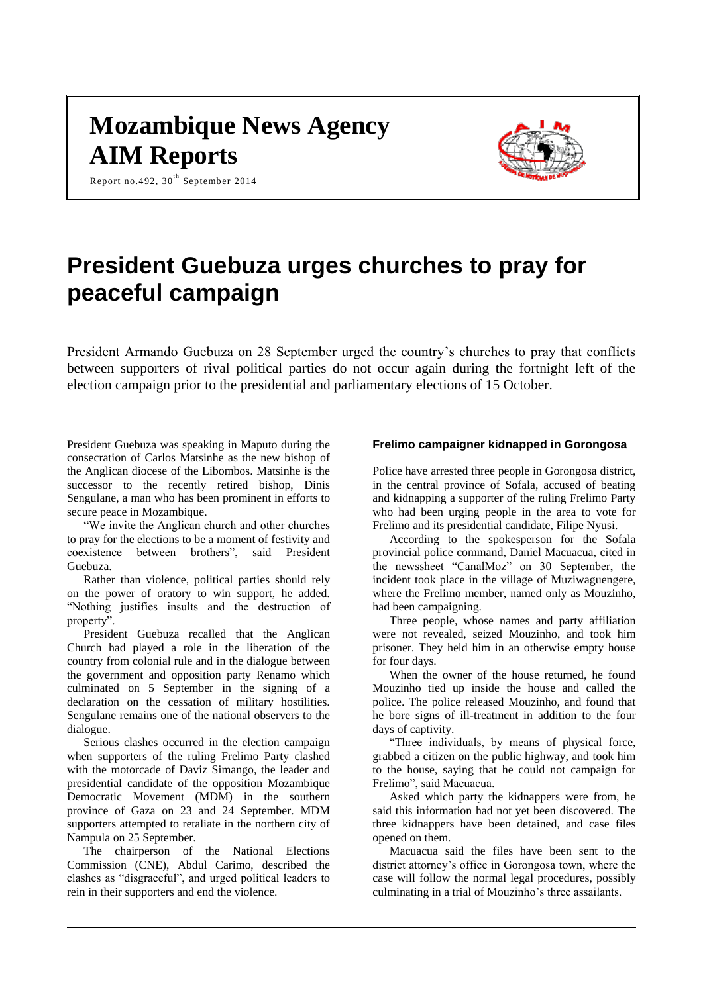# **Mozambique News Agency AIM Reports**

Report no.492, 30<sup>th</sup> September 2014



## **President Guebuza urges churches to pray for peaceful campaign**

President Armando Guebuza on 28 September urged the country's churches to pray that conflicts between supporters of rival political parties do not occur again during the fortnight left of the election campaign prior to the presidential and parliamentary elections of 15 October.

President Guebuza was speaking in Maputo during the consecration of Carlos Matsinhe as the new bishop of the Anglican diocese of the Libombos. Matsinhe is the successor to the recently retired bishop, Dinis Sengulane, a man who has been prominent in efforts to secure peace in Mozambique.

"We invite the Anglican church and other churches to pray for the elections to be a moment of festivity and coexistence between brothers", said President Guebuza.

Rather than violence, political parties should rely on the power of oratory to win support, he added. "Nothing justifies insults and the destruction of property".

President Guebuza recalled that the Anglican Church had played a role in the liberation of the country from colonial rule and in the dialogue between the government and opposition party Renamo which culminated on 5 September in the signing of a declaration on the cessation of military hostilities. Sengulane remains one of the national observers to the dialogue.

Serious clashes occurred in the election campaign when supporters of the ruling Frelimo Party clashed with the motorcade of Daviz Simango, the leader and presidential candidate of the opposition Mozambique Democratic Movement (MDM) in the southern province of Gaza on 23 and 24 September. MDM supporters attempted to retaliate in the northern city of Nampula on 25 September.

The chairperson of the National Elections Commission (CNE), Abdul Carimo, described the clashes as "disgraceful", and urged political leaders to rein in their supporters and end the violence.

## **Frelimo campaigner kidnapped in Gorongosa**

Police have arrested three people in Gorongosa district, in the central province of Sofala, accused of beating and kidnapping a supporter of the ruling Frelimo Party who had been urging people in the area to vote for Frelimo and its presidential candidate, Filipe Nyusi.

According to the spokesperson for the Sofala provincial police command, Daniel Macuacua, cited in the newssheet "CanalMoz" on 30 September, the incident took place in the village of Muziwaguengere, where the Frelimo member, named only as Mouzinho, had been campaigning.

Three people, whose names and party affiliation were not revealed, seized Mouzinho, and took him prisoner. They held him in an otherwise empty house for four days.

When the owner of the house returned, he found Mouzinho tied up inside the house and called the police. The police released Mouzinho, and found that he bore signs of ill-treatment in addition to the four days of captivity.

"Three individuals, by means of physical force, grabbed a citizen on the public highway, and took him to the house, saying that he could not campaign for Frelimo", said Macuacua.

Asked which party the kidnappers were from, he said this information had not yet been discovered. The three kidnappers have been detained, and case files opened on them.

Macuacua said the files have been sent to the district attorney's office in Gorongosa town, where the case will follow the normal legal procedures, possibly culminating in a trial of Mouzinho's three assailants.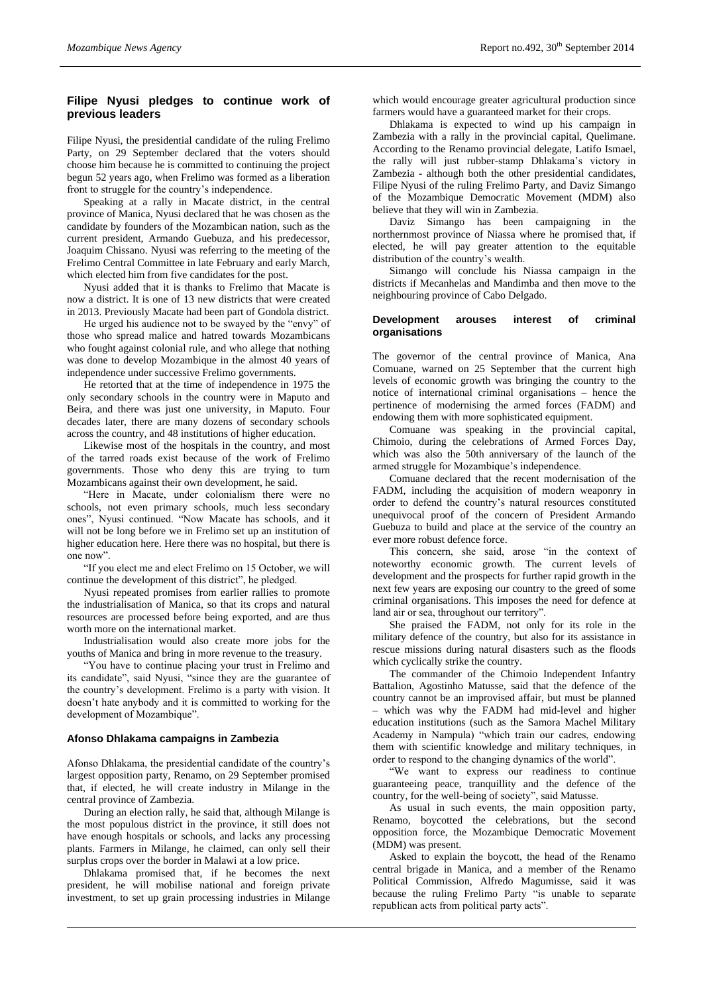### **Filipe Nyusi pledges to continue work of previous leaders**

Filipe Nyusi, the presidential candidate of the ruling Frelimo Party, on 29 September declared that the voters should choose him because he is committed to continuing the project begun 52 years ago, when Frelimo was formed as a liberation front to struggle for the country's independence.

Speaking at a rally in Macate district, in the central province of Manica, Nyusi declared that he was chosen as the candidate by founders of the Mozambican nation, such as the current president, Armando Guebuza, and his predecessor, Joaquim Chissano. Nyusi was referring to the meeting of the Frelimo Central Committee in late February and early March, which elected him from five candidates for the post.

Nyusi added that it is thanks to Frelimo that Macate is now a district. It is one of 13 new districts that were created in 2013. Previously Macate had been part of Gondola district.

He urged his audience not to be swayed by the "envy" of those who spread malice and hatred towards Mozambicans who fought against colonial rule, and who allege that nothing was done to develop Mozambique in the almost 40 years of independence under successive Frelimo governments.

He retorted that at the time of independence in 1975 the only secondary schools in the country were in Maputo and Beira, and there was just one university, in Maputo. Four decades later, there are many dozens of secondary schools across the country, and 48 institutions of higher education.

Likewise most of the hospitals in the country, and most of the tarred roads exist because of the work of Frelimo governments. Those who deny this are trying to turn Mozambicans against their own development, he said.

"Here in Macate, under colonialism there were no schools, not even primary schools, much less secondary ones", Nyusi continued. "Now Macate has schools, and it will not be long before we in Frelimo set up an institution of higher education here. Here there was no hospital, but there is one now".

"If you elect me and elect Frelimo on 15 October, we will continue the development of this district", he pledged.

Nyusi repeated promises from earlier rallies to promote the industrialisation of Manica, so that its crops and natural resources are processed before being exported, and are thus worth more on the international market.

Industrialisation would also create more jobs for the youths of Manica and bring in more revenue to the treasury.

"You have to continue placing your trust in Frelimo and its candidate", said Nyusi, "since they are the guarantee of the country's development. Frelimo is a party with vision. It doesn't hate anybody and it is committed to working for the development of Mozambique".

#### **Afonso Dhlakama campaigns in Zambezia**

Afonso Dhlakama, the presidential candidate of the country's largest opposition party, Renamo, on 29 September promised that, if elected, he will create industry in Milange in the central province of Zambezia.

During an election rally, he said that, although Milange is the most populous district in the province, it still does not have enough hospitals or schools, and lacks any processing plants. Farmers in Milange, he claimed, can only sell their surplus crops over the border in Malawi at a low price.

Dhlakama promised that, if he becomes the next president, he will mobilise national and foreign private investment, to set up grain processing industries in Milange

which would encourage greater agricultural production since farmers would have a guaranteed market for their crops.

Dhlakama is expected to wind up his campaign in Zambezia with a rally in the provincial capital, Quelimane. According to the Renamo provincial delegate, Latifo Ismael, the rally will just rubber-stamp Dhlakama's victory in Zambezia - although both the other presidential candidates, Filipe Nyusi of the ruling Frelimo Party, and Daviz Simango of the Mozambique Democratic Movement (MDM) also believe that they will win in Zambezia.

Daviz Simango has been campaigning in the northernmost province of Niassa where he promised that, if elected, he will pay greater attention to the equitable distribution of the country's wealth.

Simango will conclude his Niassa campaign in the districts if Mecanhelas and Mandimba and then move to the neighbouring province of Cabo Delgado.

#### **Development arouses interest of criminal organisations**

The governor of the central province of Manica, Ana Comuane, warned on 25 September that the current high levels of economic growth was bringing the country to the notice of international criminal organisations – hence the pertinence of modernising the armed forces (FADM) and endowing them with more sophisticated equipment.

Comuane was speaking in the provincial capital, Chimoio, during the celebrations of Armed Forces Day, which was also the 50th anniversary of the launch of the armed struggle for Mozambique's independence.

Comuane declared that the recent modernisation of the FADM, including the acquisition of modern weaponry in order to defend the country's natural resources constituted unequivocal proof of the concern of President Armando Guebuza to build and place at the service of the country an ever more robust defence force.

This concern, she said, arose "in the context of noteworthy economic growth. The current levels of development and the prospects for further rapid growth in the next few years are exposing our country to the greed of some criminal organisations. This imposes the need for defence at land air or sea, throughout our territory".

She praised the FADM, not only for its role in the military defence of the country, but also for its assistance in rescue missions during natural disasters such as the floods which cyclically strike the country.

The commander of the Chimoio Independent Infantry Battalion, Agostinho Matusse, said that the defence of the country cannot be an improvised affair, but must be planned which was why the FADM had mid-level and higher education institutions (such as the Samora Machel Military Academy in Nampula) "which train our cadres, endowing them with scientific knowledge and military techniques, in order to respond to the changing dynamics of the world".

"We want to express our readiness to continue guaranteeing peace, tranquillity and the defence of the country, for the well-being of society", said Matusse.

As usual in such events, the main opposition party, Renamo, boycotted the celebrations, but the second opposition force, the Mozambique Democratic Movement (MDM) was present.

Asked to explain the boycott, the head of the Renamo central brigade in Manica, and a member of the Renamo Political Commission, Alfredo Magumisse, said it was because the ruling Frelimo Party "is unable to separate republican acts from political party acts".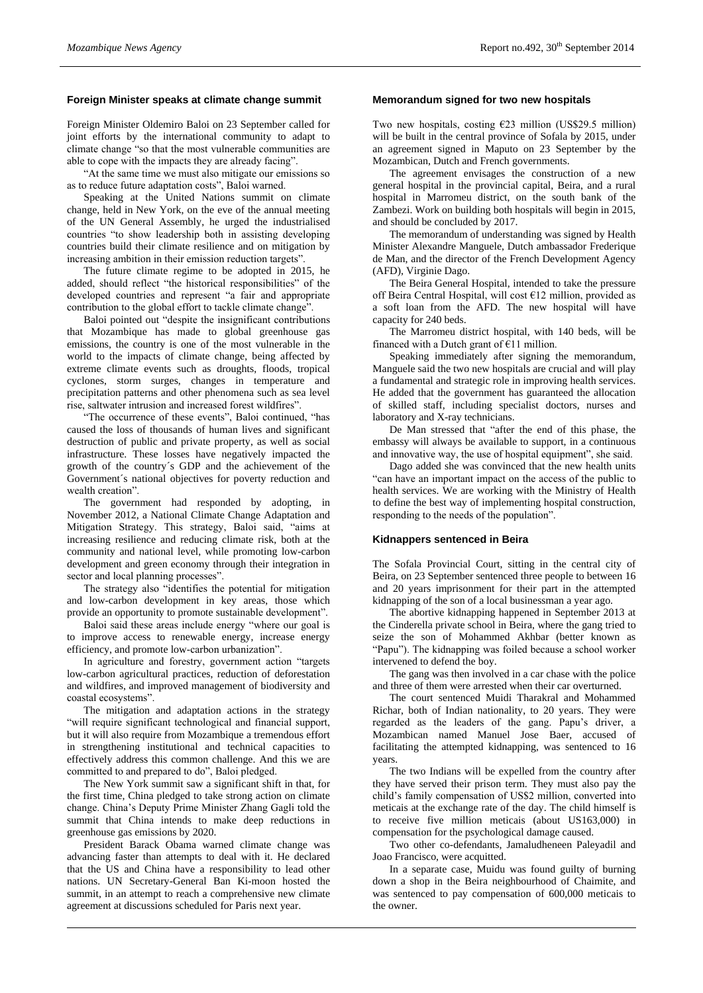#### **Foreign Minister speaks at climate change summit**

Foreign Minister Oldemiro Baloi on 23 September called for joint efforts by the international community to adapt to climate change "so that the most vulnerable communities are able to cope with the impacts they are already facing".

"At the same time we must also mitigate our emissions so as to reduce future adaptation costs", Baloi warned.

Speaking at the United Nations summit on climate change, held in New York, on the eve of the annual meeting of the UN General Assembly, he urged the industrialised countries "to show leadership both in assisting developing countries build their climate resilience and on mitigation by increasing ambition in their emission reduction targets".

The future climate regime to be adopted in 2015, he added, should reflect "the historical responsibilities" of the developed countries and represent "a fair and appropriate contribution to the global effort to tackle climate change".

Baloi pointed out "despite the insignificant contributions that Mozambique has made to global greenhouse gas emissions, the country is one of the most vulnerable in the world to the impacts of climate change, being affected by extreme climate events such as droughts, floods, tropical cyclones, storm surges, changes in temperature and precipitation patterns and other phenomena such as sea level rise, saltwater intrusion and increased forest wildfires".

"The occurrence of these events", Baloi continued, "has caused the loss of thousands of human lives and significant destruction of public and private property, as well as social infrastructure. These losses have negatively impacted the growth of the country´s GDP and the achievement of the Government´s national objectives for poverty reduction and wealth creation".

The government had responded by adopting, in November 2012, a National Climate Change Adaptation and Mitigation Strategy. This strategy, Baloi said, "aims at increasing resilience and reducing climate risk, both at the community and national level, while promoting low-carbon development and green economy through their integration in sector and local planning processes".

The strategy also "identifies the potential for mitigation and low-carbon development in key areas, those which provide an opportunity to promote sustainable development".

Baloi said these areas include energy "where our goal is to improve access to renewable energy, increase energy efficiency, and promote low-carbon urbanization".

In agriculture and forestry, government action "targets low-carbon agricultural practices, reduction of deforestation and wildfires, and improved management of biodiversity and coastal ecosystems".

The mitigation and adaptation actions in the strategy "will require significant technological and financial support, but it will also require from Mozambique a tremendous effort in strengthening institutional and technical capacities to effectively address this common challenge. And this we are committed to and prepared to do", Baloi pledged.

The New York summit saw a significant shift in that, for the first time, China pledged to take strong action on climate change. China's Deputy Prime Minister Zhang Gagli told the summit that China intends to make deep reductions in greenhouse gas emissions by 2020.

President Barack Obama warned climate change was advancing faster than attempts to deal with it. He declared that the US and China have a responsibility to lead other nations. UN Secretary-General Ban Ki-moon hosted the summit, in an attempt to reach a comprehensive new climate agreement at discussions scheduled for Paris next year.

#### **Memorandum signed for two new hospitals**

Two new hospitals, costing  $E23$  million (US\$29.5 million) will be built in the central province of Sofala by 2015, under an agreement signed in Maputo on 23 September by the Mozambican, Dutch and French governments.

The agreement envisages the construction of a new general hospital in the provincial capital, Beira, and a rural hospital in Marromeu district, on the south bank of the Zambezi. Work on building both hospitals will begin in 2015, and should be concluded by 2017.

The memorandum of understanding was signed by Health Minister Alexandre Manguele, Dutch ambassador Frederique de Man, and the director of the French Development Agency (AFD), Virginie Dago.

The Beira General Hospital, intended to take the pressure off Beira Central Hospital, will cost €12 million, provided as a soft loan from the AFD. The new hospital will have capacity for 240 beds.

The Marromeu district hospital, with 140 beds, will be financed with a Dutch grant of  $\hat{\epsilon}$ 11 million.

Speaking immediately after signing the memorandum, Manguele said the two new hospitals are crucial and will play a fundamental and strategic role in improving health services. He added that the government has guaranteed the allocation of skilled staff, including specialist doctors, nurses and laboratory and X-ray technicians.

De Man stressed that "after the end of this phase, the embassy will always be available to support, in a continuous and innovative way, the use of hospital equipment", she said.

Dago added she was convinced that the new health units "can have an important impact on the access of the public to health services. We are working with the Ministry of Health to define the best way of implementing hospital construction, responding to the needs of the population".

#### **Kidnappers sentenced in Beira**

The Sofala Provincial Court, sitting in the central city of Beira, on 23 September sentenced three people to between 16 and 20 years imprisonment for their part in the attempted kidnapping of the son of a local businessman a year ago.

The abortive kidnapping happened in September 2013 at the Cinderella private school in Beira, where the gang tried to seize the son of Mohammed Akhbar (better known as "Papu"). The kidnapping was foiled because a school worker intervened to defend the boy.

The gang was then involved in a car chase with the police and three of them were arrested when their car overturned.

The court sentenced Muidi Tharakral and Mohammed Richar, both of Indian nationality, to 20 years. They were regarded as the leaders of the gang. Papu's driver, a Mozambican named Manuel Jose Baer, accused of facilitating the attempted kidnapping, was sentenced to 16 years.

The two Indians will be expelled from the country after they have served their prison term. They must also pay the child's family compensation of US\$2 million, converted into meticais at the exchange rate of the day. The child himself is to receive five million meticais (about US163,000) in compensation for the psychological damage caused.

Two other co-defendants, Jamaludheneen Paleyadil and Joao Francisco, were acquitted.

In a separate case, Muidu was found guilty of burning down a shop in the Beira neighbourhood of Chaimite, and was sentenced to pay compensation of 600,000 meticais to the owner.